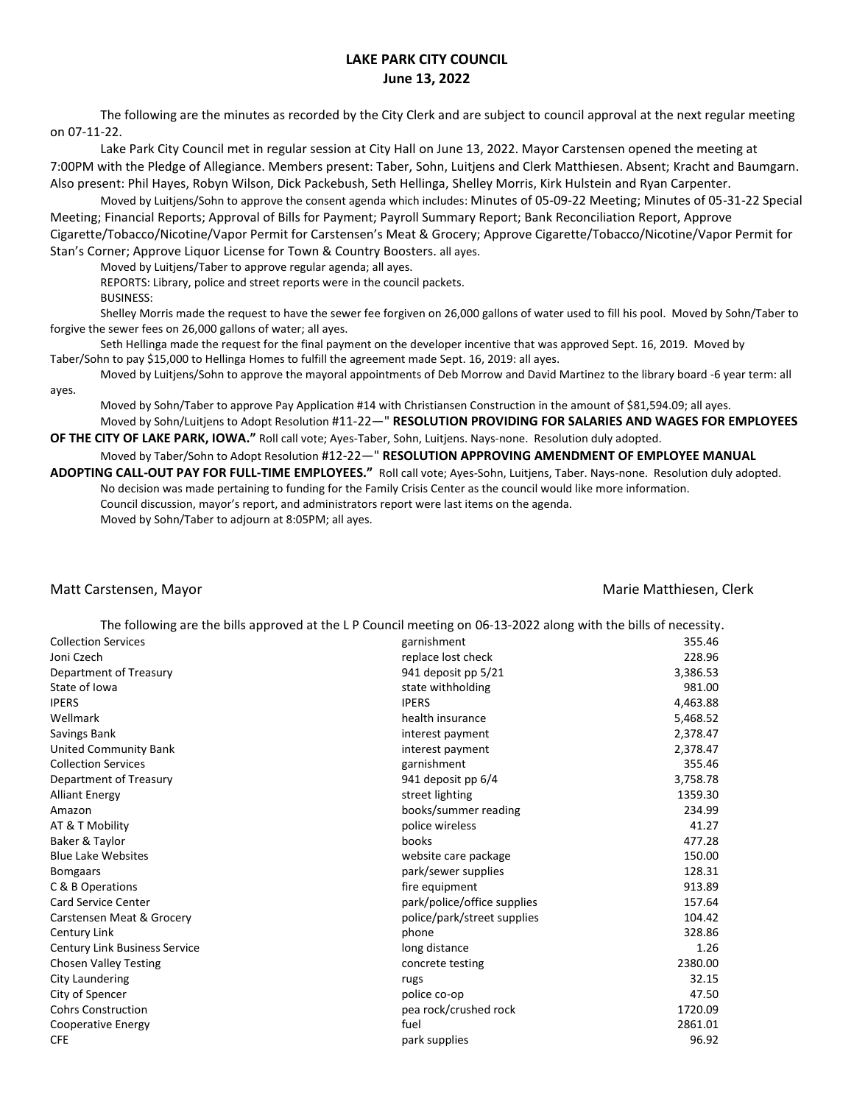## **LAKE PARK CITY COUNCIL June 13, 2022**

The following are the minutes as recorded by the City Clerk and are subject to council approval at the next regular meeting on 07-11-22.

Lake Park City Council met in regular session at City Hall on June 13, 2022. Mayor Carstensen opened the meeting at 7:00PM with the Pledge of Allegiance. Members present: Taber, Sohn, Luitjens and Clerk Matthiesen. Absent; Kracht and Baumgarn. Also present: Phil Hayes, Robyn Wilson, Dick Packebush, Seth Hellinga, Shelley Morris, Kirk Hulstein and Ryan Carpenter.

Moved by Luitjens/Sohn to approve the consent agenda which includes: Minutes of 05-09-22 Meeting; Minutes of 05-31-22 Special Meeting; Financial Reports; Approval of Bills for Payment; Payroll Summary Report; Bank Reconciliation Report, Approve Cigarette/Tobacco/Nicotine/Vapor Permit for Carstensen's Meat & Grocery; Approve Cigarette/Tobacco/Nicotine/Vapor Permit for Stan's Corner; Approve Liquor License for Town & Country Boosters. all ayes.

Moved by Luitjens/Taber to approve regular agenda; all ayes.

REPORTS: Library, police and street reports were in the council packets.

BUSINESS:

Shelley Morris made the request to have the sewer fee forgiven on 26,000 gallons of water used to fill his pool. Moved by Sohn/Taber to forgive the sewer fees on 26,000 gallons of water; all ayes.

Seth Hellinga made the request for the final payment on the developer incentive that was approved Sept. 16, 2019. Moved by Taber/Sohn to pay \$15,000 to Hellinga Homes to fulfill the agreement made Sept. 16, 2019: all ayes.

Moved by Luitjens/Sohn to approve the mayoral appointments of Deb Morrow and David Martinez to the library board -6 year term: all ayes.

Moved by Sohn/Taber to approve Pay Application #14 with Christiansen Construction in the amount of \$81,594.09; all ayes. Moved by Sohn/Luitjens to Adopt Resolution #11-22—" **RESOLUTION PROVIDING FOR SALARIES AND WAGES FOR EMPLOYEES** 

**OF THE CITY OF LAKE PARK, IOWA."** Roll call vote; Ayes-Taber, Sohn, Luitjens. Nays-none. Resolution duly adopted. Moved by Taber/Sohn to Adopt Resolution #12-22—" **RESOLUTION APPROVING AMENDMENT OF EMPLOYEE MANUAL** 

**ADOPTING CALL-OUT PAY FOR FULL-TIME EMPLOYEES."** Roll call vote; Ayes-Sohn, Luitjens, Taber. Nays-none. Resolution duly adopted. No decision was made pertaining to funding for the Family Crisis Center as the council would like more information. Council discussion, mayor's report, and administrators report were last items on the agenda. Moved by Sohn/Taber to adjourn at 8:05PM; all ayes.

## Matt Carstensen, Mayor Matthiesen, Clerk (Matthiesen, Clerk Matthiesen, Clerk Matthiesen, Clerk Matthiesen, Clerk

|                                      | The following are the bills approved at the LP Council meeting on 06-13-2022 along with the bills of necessity. |          |
|--------------------------------------|-----------------------------------------------------------------------------------------------------------------|----------|
| <b>Collection Services</b>           | garnishment                                                                                                     | 355.46   |
| Joni Czech                           | replace lost check                                                                                              | 228.96   |
| Department of Treasury               | 941 deposit pp 5/21                                                                                             | 3,386.53 |
| State of Iowa                        | state withholding                                                                                               | 981.00   |
| <b>IPERS</b>                         | <b>IPERS</b>                                                                                                    | 4,463.88 |
| Wellmark                             | health insurance                                                                                                | 5,468.52 |
| Savings Bank                         | interest payment                                                                                                | 2,378.47 |
| <b>United Community Bank</b>         | interest payment                                                                                                | 2,378.47 |
| <b>Collection Services</b>           | garnishment                                                                                                     | 355.46   |
| Department of Treasury               | 941 deposit pp 6/4                                                                                              | 3,758.78 |
| <b>Alliant Energy</b>                | street lighting                                                                                                 | 1359.30  |
| Amazon                               | books/summer reading                                                                                            | 234.99   |
| AT & T Mobility                      | police wireless                                                                                                 | 41.27    |
| Baker & Taylor                       | books                                                                                                           | 477.28   |
| <b>Blue Lake Websites</b>            | website care package                                                                                            | 150.00   |
| <b>Bomgaars</b>                      | park/sewer supplies                                                                                             | 128.31   |
| C & B Operations                     | fire equipment                                                                                                  | 913.89   |
| <b>Card Service Center</b>           | park/police/office supplies                                                                                     | 157.64   |
| Carstensen Meat & Grocery            | police/park/street supplies                                                                                     | 104.42   |
| Century Link                         | phone                                                                                                           | 328.86   |
| <b>Century Link Business Service</b> | long distance                                                                                                   | 1.26     |
| <b>Chosen Valley Testing</b>         | concrete testing                                                                                                | 2380.00  |
| City Laundering                      | rugs                                                                                                            | 32.15    |
| City of Spencer                      | police co-op                                                                                                    | 47.50    |
| <b>Cohrs Construction</b>            | pea rock/crushed rock                                                                                           | 1720.09  |
| Cooperative Energy                   | fuel                                                                                                            | 2861.01  |
| <b>CFE</b>                           | park supplies                                                                                                   | 96.92    |
|                                      |                                                                                                                 |          |